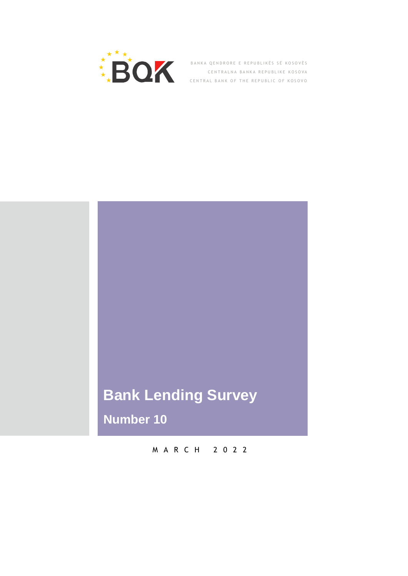

BANKA QENDRORE E REPUBLIKËS SË KOSOVËS CENTRALNA BANKA REPUBLIKE KOSOVA CENTRAL BANK OF THE REPUBLIC OF KOSOVO

# Buletini Mujor Tuniy Survey<br>. **Bank Lending Survey**

**Number 10**

M A R C H 2 0 2 2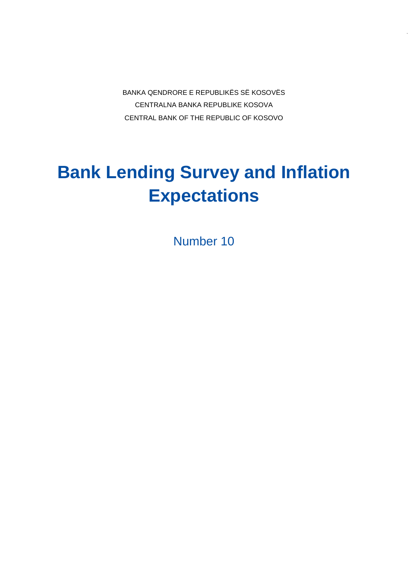BANKA QENDRORE E REPUBLIKËS SË KOSOVËS CENTRALNA BANKA REPUBLIKE KOSOVA CENTRAL BANK OF THE REPUBLIC OF KOSOVO

# **Bank Lending Survey and Inflation Expectations**

Number 10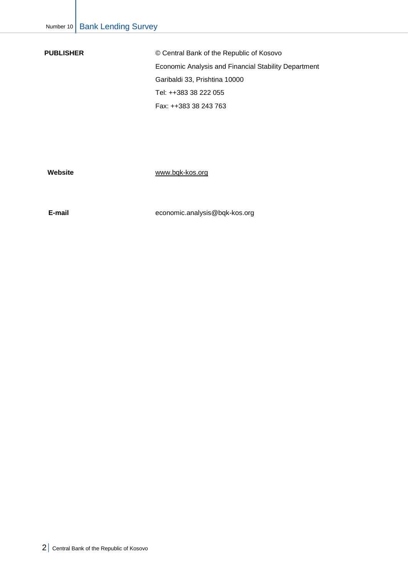**PUBLISHER** © Central Bank of the Republic of Kosovo Economic Analysis and Financial Stability Department Garibaldi 33, Prishtina 10000 Tel: ++383 38 222 055 Fax: ++383 38 243 763

**Website** [www.bqk-kos.org](http://www.bqk-kos.org/)

 **E-mail** [economic.analysis@bqk-kos.org](mailto:economic.analysis@bqk-kos.org;)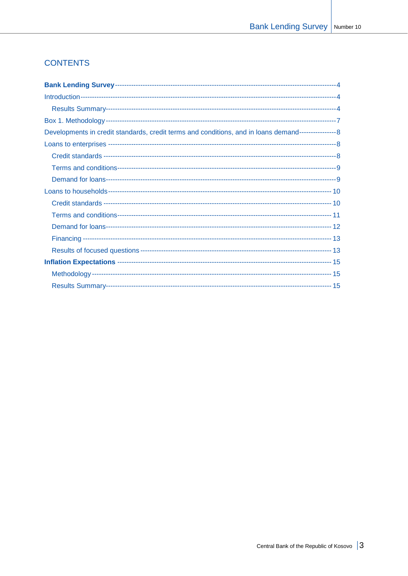# **CONTENTS**

| Developments in credit standards, credit terms and conditions, and in loans demand----------------- 8 |  |
|-------------------------------------------------------------------------------------------------------|--|
|                                                                                                       |  |
|                                                                                                       |  |
|                                                                                                       |  |
|                                                                                                       |  |
|                                                                                                       |  |
|                                                                                                       |  |
|                                                                                                       |  |
|                                                                                                       |  |
|                                                                                                       |  |
|                                                                                                       |  |
|                                                                                                       |  |
|                                                                                                       |  |
|                                                                                                       |  |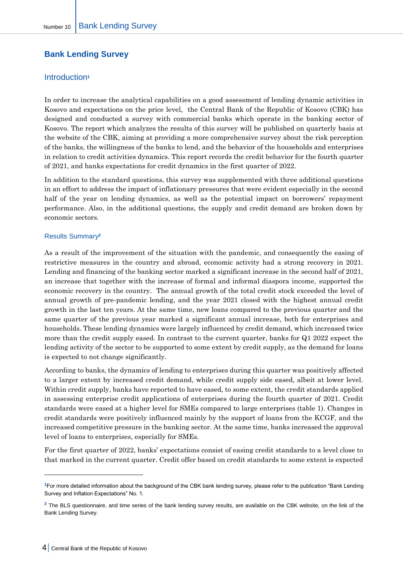# <span id="page-4-0"></span>**Bank Lending Survey**

# <span id="page-4-1"></span>Introduction**<sup>1</sup>**

In order to increase the analytical capabilities on a good assessment of lending dynamic activities in Kosovo and expectations on the price level, the Central Bank of the Republic of Kosovo (CBK) has designed and conducted a survey with commercial banks which operate in the banking sector of Kosovo. The report which analyzes the results of this survey will be published on quarterly basis at the website of the CBK, aiming at providing a more comprehensive survey about the risk perception of the banks, the willingness of the banks to lend, and the behavior of the households and enterprises in relation to credit activities dynamics. This report records the credit behavior for the fourth quarter of 2021, and banks expectations for credit dynamics in the first quarter of 2022.

In addition to the standard questions, this survey was supplemented with three additional questions in an effort to address the impact of inflationary pressures that were evident especially in the second half of the year on lending dynamics, as well as the potential impact on borrowers' repayment performance. Also, in the additional questions, the supply and credit demand are broken down by economic sectors.

### <span id="page-4-2"></span>Results Summary**<sup>2</sup>**

As a result of the improvement of the situation with the pandemic, and consequently the easing of restrictive measures in the country and abroad, economic activity had a strong recovery in 2021. Lending and financing of the banking sector marked a significant increase in the second half of 2021, an increase that together with the increase of formal and informal diaspora income, supported the economic recovery in the country. The annual growth of the total credit stock exceeded the level of annual growth of pre-pandemic lending, and the year 2021 closed with the highest annual credit growth in the last ten years. At the same time, new loans compared to the previous quarter and the same quarter of the previous year marked a significant annual increase, both for enterprises and households. These lending dynamics were largely influenced by credit demand, which increased twice more than the credit supply eased. In contrast to the current quarter, banks for Q1 2022 expect the lending activity of the sector to be supported to some extent by credit supply, as the demand for loans is expected to not change significantly.

According to banks, the dynamics of lending to enterprises during this quarter was positively affected to a larger extent by increased credit demand, while credit supply side eased, albeit at lower level. Within credit supply, banks have reported to have eased, to some extent, the credit standards applied in assessing enterprise credit applications of enterprises during the fourth quarter of 2021. Credit standards were eased at a higher level for SMEs compared to large enterprises (table 1). Changes in credit standards were positively influenced mainly by the support of loans from the KCGF, and the increased competitive pressure in the banking sector. At the same time, banks increased the approval level of loans to enterprises, especially for SMEs.

For the first quarter of 2022, banks' expectations consist of easing credit standards to a level close to that marked in the current quarter. Credit offer based on credit standards to some extent is expected

 $\overline{a}$ 

**<sup>1</sup>**For more detailed information about the background of the CBK bank lending survey, please refer to the publication "Bank Lending Survey and Inflation Expectations" No. 1.

**<sup>2</sup>** The BLS questionnaire, and time series of the bank lending survey results, are available on the CBK website, on the link of the Bank Lending Survey.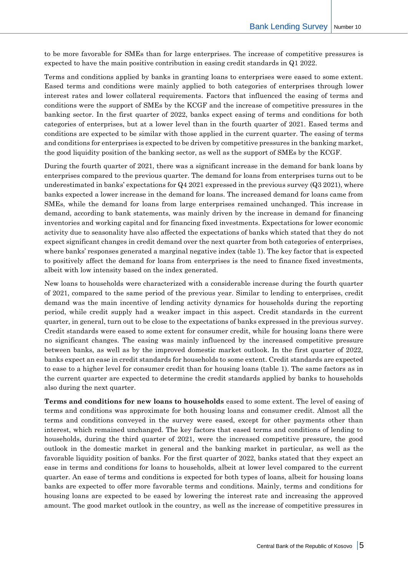to be more favorable for SMEs than for large enterprises. The increase of competitive pressures is expected to have the main positive contribution in easing credit standards in Q1 2022.

Terms and conditions applied by banks in granting loans to enterprises were eased to some extent. Eased terms and conditions were mainly applied to both categories of enterprises through lower interest rates and lower collateral requirements. Factors that influenced the easing of terms and conditions were the support of SMEs by the KCGF and the increase of competitive pressures in the banking sector. In the first quarter of 2022, banks expect easing of terms and conditions for both categories of enterprises, but at a lower level than in the fourth quarter of 2021. Eased terms and conditions are expected to be similar with those applied in the current quarter. The easing of terms and conditions for enterprises is expected to be driven by competitive pressures in the banking market, the good liquidity position of the banking sector, as well as the support of SMEs by the KCGF.

During the fourth quarter of 2021, there was a significant increase in the demand for bank loans by enterprises compared to the previous quarter. The demand for loans from enterprises turns out to be underestimated in banks' expectations for Q4 2021 expressed in the previous survey (Q3 2021), where banks expected a lower increase in the demand for loans. The increased demand for loans came from SMEs, while the demand for loans from large enterprises remained unchanged. This increase in demand, according to bank statements, was mainly driven by the increase in demand for financing inventories and working capital and for financing fixed investments. Expectations for lower economic activity due to seasonality have also affected the expectations of banks which stated that they do not expect significant changes in credit demand over the next quarter from both categories of enterprises, where banks' responses generated a marginal negative index (table 1). The key factor that is expected to positively affect the demand for loans from enterprises is the need to finance fixed investments, albeit with low intensity based on the index generated.

New loans to households were characterized with a considerable increase during the fourth quarter of 2021, compared to the same period of the previous year. Similar to lending to enterprises, credit demand was the main incentive of lending activity dynamics for households during the reporting period, while credit supply had a weaker impact in this aspect. Credit standards in the current quarter, in general, turn out to be close to the expectations of banks expressed in the previous survey. Credit standards were eased to some extent for consumer credit, while for housing loans there were no significant changes. The easing was mainly influenced by the increased competitive pressure between banks, as well as by the improved domestic market outlook. In the first quarter of 2022, banks expect an ease in credit standards for households to some extent. Credit standards are expected to ease to a higher level for consumer credit than for housing loans (table 1). The same factors as in the current quarter are expected to determine the credit standards applied by banks to households also during the next quarter.

**Terms and conditions for new loans to households** eased to some extent. The level of easing of terms and conditions was approximate for both housing loans and consumer credit. Almost all the terms and conditions conveyed in the survey were eased, except for other payments other than interest, which remained unchanged. The key factors that eased terms and conditions of lending to households, during the third quarter of 2021, were the increased competitive pressure, the good outlook in the domestic market in general and the banking market in particular, as well as the favorable liquidity position of banks. For the first quarter of 2022, banks stated that they expect an ease in terms and conditions for loans to households, albeit at lower level compared to the current quarter. An ease of terms and conditions is expected for both types of loans, albeit for housing loans banks are expected to offer more favorable terms and conditions. Mainly, terms and conditions for housing loans are expected to be eased by lowering the interest rate and increasing the approved amount. The good market outlook in the country, as well as the increase of competitive pressures in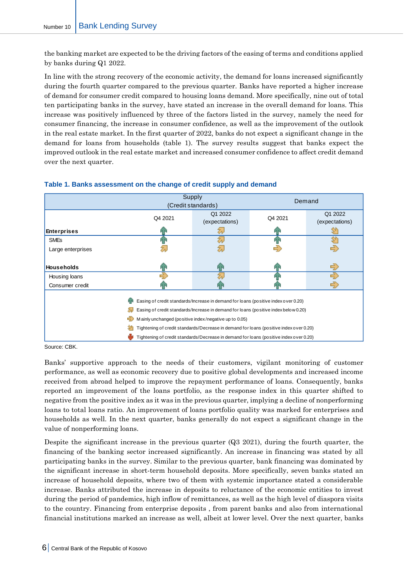the banking market are expected to be the driving factors of the easing of terms and conditions applied by banks during Q1 2022.

In line with the strong recovery of the economic activity, the demand for loans increased significantly during the fourth quarter compared to the previous quarter. Banks have reported a higher increase of demand for consumer credit compared to housing loans demand. More specifically, nine out of total ten participating banks in the survey, have stated an increase in the overall demand for loans. This increase was positively influenced by three of the factors listed in the survey, namely the need for consumer financing, the increase in consumer confidence, as well as the improvement of the outlook in the real estate market. In the first quarter of 2022, banks do not expect a significant change in the demand for loans from households (table 1). The survey results suggest that banks expect the improved outlook in the real estate market and increased consumer confidence to affect credit demand over the next quarter.

|                                                                                        | Supply<br>(Credit standards) |                           | Demand  |                           |  |  |
|----------------------------------------------------------------------------------------|------------------------------|---------------------------|---------|---------------------------|--|--|
|                                                                                        | Q4 2021                      | Q1 2022<br>(expectations) | Q4 2021 | Q1 2022<br>(expectations) |  |  |
| <b>Enterprises</b>                                                                     |                              |                           | ЙΤ      |                           |  |  |
| <b>SME<sub>s</sub></b>                                                                 |                              |                           |         |                           |  |  |
| Large enterprises                                                                      |                              |                           |         |                           |  |  |
| <b>Households</b>                                                                      | ИΝ                           | Иг                        | Й۴      | $\Rightarrow$             |  |  |
| Housing loans                                                                          | Æ                            |                           |         | æ                         |  |  |
| Consumer credit                                                                        |                              |                           |         | 5)                        |  |  |
| Easing of credit standards/Increase in demand for loans (positive index over 0.20)     |                              |                           |         |                           |  |  |
| Easing of credit standards/Increase in demand for loans (positive index below 0.20)    |                              |                           |         |                           |  |  |
| ➾<br>Mainly unchanged (positive index/negative up to 0.05)                             |                              |                           |         |                           |  |  |
| Tightening of credit standards/Decrease in demand for loans (positive index over 0.20) |                              |                           |         |                           |  |  |
| Tightening of credit standards/Decrease in demand for loans (positive index over 0.20) |                              |                           |         |                           |  |  |

# **Table 1. Banks assessment on the change of credit supply and demand**

Source: CBK.

Banks' supportive approach to the needs of their customers, vigilant monitoring of customer performance, as well as economic recovery due to positive global developments and increased income received from abroad helped to improve the repayment performance of loans. Consequently, banks reported an improvement of the loans portfolio, as the response index in this quarter shifted to negative from the positive index as it was in the previous quarter, implying a decline of nonperforming loans to total loans ratio. An improvement of loans portfolio quality was marked for enterprises and households as well. In the next quarter, banks generally do not expect a significant change in the value of nonperforming loans.

Despite the significant increase in the previous quarter (Q3 2021), during the fourth quarter, the financing of the banking sector increased significantly. An increase in financing was stated by all participating banks in the survey. Similar to the previous quarter, bank financing was dominated by the significant increase in short-term household deposits. More specifically, seven banks stated an increase of household deposits, where two of them with systemic importance stated a considerable increase. Banks attributed the increase in deposits to reluctance of the economic entities to invest during the period of pandemics, high inflow of remittances, as well as the high level of diaspora visits to the country. Financing from enterprise deposits , from parent banks and also from international financial institutions marked an increase as well, albeit at lower level. Over the next quarter, banks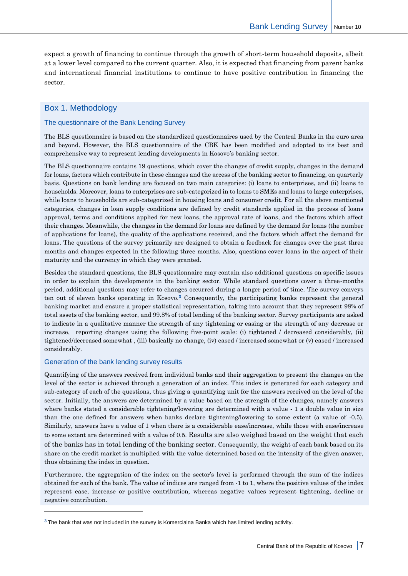expect a growth of financing to continue through the growth of short-term household deposits, albeit at a lower level compared to the current quarter. Also, it is expected that financing from parent banks and international financial institutions to continue to have positive contribution in financing the sector.

# <span id="page-7-0"></span>Box 1. Methodology

#### The questionnaire of the Bank Lending Survey

The BLS questionnaire is based on the standardized questionnaires used by the Central Banks in the euro area and beyond. However, the BLS questionnaire of the CBK has been modified and adopted to its best and comprehensive way to represent lending developments in Kosovo's banking sector.

The BLS questionnaire contains 19 questions, which cover the changes of credit supply, changes in the demand for loans, factors which contribute in these changes and the access of the banking sector to financing, on quarterly basis. Questions on bank lending are focused on two main categories: (i) loans to enterprises, and (ii) loans to households. Moreover, loans to enterprises are sub-categorized in to loans to SMEs and loans to large enterprises, while loans to households are sub-categorized in housing loans and consumer credit. For all the above mentioned categories, changes in loan supply conditions are defined by credit standards applied in the process of loans approval, terms and conditions applied for new loans, the approval rate of loans, and the factors which affect their changes. Meanwhile, the changes in the demand for loans are defined by the demand for loans (the number of applications for loans), the quality of the applications received, and the factors which affect the demand for loans. The questions of the survey primarily are designed to obtain a feedback for changes over the past three months and changes expected in the following three months. Also, questions cover loans in the aspect of their maturity and the currency in which they were granted.

Besides the standard questions, the BLS questionnaire may contain also additional questions on specific issues in order to explain the developments in the banking sector. While standard questions cover a three-months period, additional questions may refer to changes occurred during a longer period of time. The survey conveys ten out of eleven banks operating in Kosovo.**<sup>3</sup>** Consequently, the participating banks represent the general banking market and ensure a proper statistical representation, taking into account that they represent 98% of total assets of the banking sector, and 99.8% of total lending of the banking sector. Survey participants are asked to indicate in a qualitative manner the strength of any tightening or easing or the strength of any decrease or increase, reporting changes using the following five-point scale: (i) tightened / decreased considerably, (ii) tightened/decreased somewhat , (iii) basically no change, (iv) eased / increased somewhat or (v) eased / increased considerably.

#### Generation of the bank lending survey results

-

Quantifying of the answers received from individual banks and their aggregation to present the changes on the level of the sector is achieved through a generation of an index. This index is generated for each category and sub-category of each of the questions, thus giving a quantifying unit for the answers received on the level of the sector. Initially, the answers are determined by a value based on the strength of the changes, namely answers where banks stated a considerable tightening/lowering are determined with a value - 1 a double value in size than the one defined for answers when banks declare tightening/lowering to some extent (a value of -0.5). Similarly, answers have a value of 1 when there is a considerable ease/increase, while those with ease/increase to some extent are determined with a value of 0.5. Results are also weighed based on the weight that each of the banks has in total lending of the banking sector. Consequently, the weight of each bank based on its share on the credit market is multiplied with the value determined based on the intensity of the given answer, thus obtaining the index in question.

Furthermore, the aggregation of the index on the sector's level is performed through the sum of the indices obtained for each of the bank. The value of indices are ranged from -1 to 1, where the positive values of the index represent ease, increase or positive contribution, whereas negative values represent tightening, decline or negative contribution.

**<sup>3</sup>** The bank that was not included in the survey is Komercialna Banka which has limited lending activity.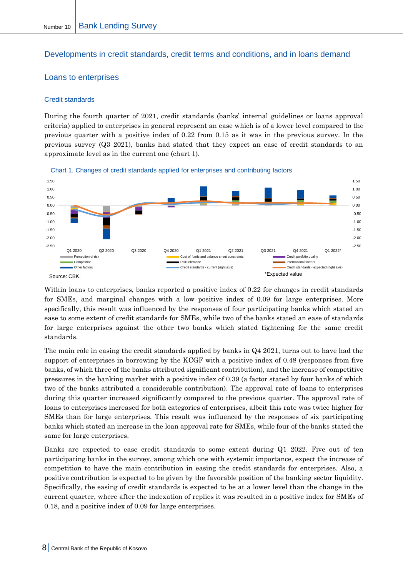# <span id="page-8-0"></span>Developments in credit standards, credit terms and conditions, and in loans demand

# <span id="page-8-1"></span>Loans to enterprises

#### <span id="page-8-2"></span>Credit standards

During the fourth quarter of 2021, credit standards (banks' internal guidelines or loans approval criteria) applied to enterprises in general represent an ease which is of a lower level compared to the previous quarter with a positive index of 0.22 from 0.15 as it was in the previous survey. In the previous survey (Q3 2021), banks had stated that they expect an ease of credit standards to an approximate level as in the current one (chart 1).



Chart 1. Changes of credit standards applied for enterprises and contributing factors

Within loans to enterprises, banks reported a positive index of 0.22 for changes in credit standards for SMEs, and marginal changes with a low positive index of 0.09 for large enterprises. More specifically, this result was influenced by the responses of four participating banks which stated an ease to some extent of credit standards for SMEs, while two of the banks stated an ease of standards for large enterprises against the other two banks which stated tightening for the same credit standards.

The main role in easing the credit standards applied by banks in Q4 2021, turns out to have had the support of enterprises in borrowing by the KCGF with a positive index of 0.48 (responses from five banks, of which three of the banks attributed significant contribution), and the increase of competitive pressures in the banking market with a positive index of 0.39 (a factor stated by four banks of which two of the banks attributed a considerable contribution). The approval rate of loans to enterprises during this quarter increased significantly compared to the previous quarter. The approval rate of loans to enterprises increased for both categories of enterprises, albeit this rate was twice higher for SMEs than for large enterprises. This result was influenced by the responses of six participating banks which stated an increase in the loan approval rate for SMEs, while four of the banks stated the same for large enterprises.

Banks are expected to ease credit standards to some extent during Q1 2022. Five out of ten participating banks in the survey, among which one with systemic importance, expect the increase of competition to have the main contribution in easing the credit standards for enterprises. Also, a positive contribution is expected to be given by the favorable position of the banking sector liquidity. Specifically, the easing of credit standards is expected to be at a lower level than the change in the current quarter, where after the indexation of replies it was resulted in a positive index for SMEs of 0.18, and a positive index of 0.09 for large enterprises.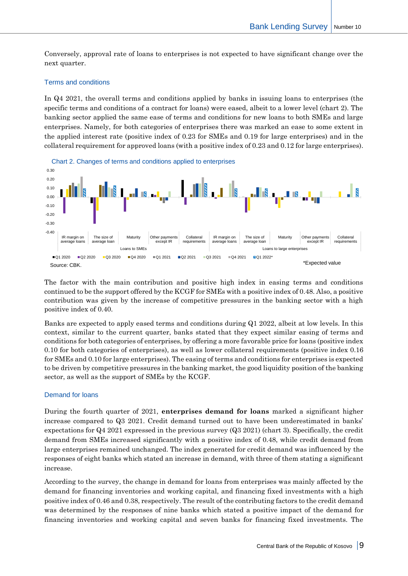Conversely, approval rate of loans to enterprises is not expected to have significant change over the next quarter.

#### <span id="page-9-0"></span>Terms and conditions

In Q4 2021, the overall terms and conditions applied by banks in issuing loans to enterprises (the specific terms and conditions of a contract for loans) were eased, albeit to a lower level (chart 2). The banking sector applied the same ease of terms and conditions for new loans to both SMEs and large enterprises. Namely, for both categories of enterprises there was marked an ease to some extent in the applied interest rate (positive index of 0.23 for SMEs and 0.19 for large enterprises) and in the collateral requirement for approved loans (with a positive index of 0.23 and 0.12 for large enterprises).



The factor with the main contribution and positive high index in easing terms and conditions continued to be the support offered by the KCGF for SMEs with a positive index of 0.48. Also, a positive contribution was given by the increase of competitive pressures in the banking sector with a high positive index of 0.40.

Banks are expected to apply eased terms and conditions during Q1 2022, albeit at low levels. In this context, similar to the current quarter, banks stated that they expect similar easing of terms and conditions for both categories of enterprises, by offering a more favorable price for loans (positive index 0.10 for both categories of enterprises), as well as lower collateral requirements (positive index 0.16 for SMEs and 0.10 for large enterprises). The easing of terms and conditions for enterprises is expected to be driven by competitive pressures in the banking market, the good liquidity position of the banking sector, as well as the support of SMEs by the KCGF.

#### <span id="page-9-1"></span>Demand for loans

During the fourth quarter of 2021, **enterprises demand for loans** marked a significant higher increase compared to Q3 2021. Credit demand turned out to have been underestimated in banks' expectations for Q4 2021 expressed in the previous survey (Q3 2021) (chart 3). Specifically, the credit demand from SMEs increased significantly with a positive index of 0.48, while credit demand from large enterprises remained unchanged. The index generated for credit demand was influenced by the responses of eight banks which stated an increase in demand, with three of them stating a significant increase.

According to the survey, the change in demand for loans from enterprises was mainly affected by the demand for financing inventories and working capital, and financing fixed investments with a high positive index of 0.46 and 0.38, respectively. The result of the contributing factors to the credit demand was determined by the responses of nine banks which stated a positive impact of the demand for financing inventories and working capital and seven banks for financing fixed investments. The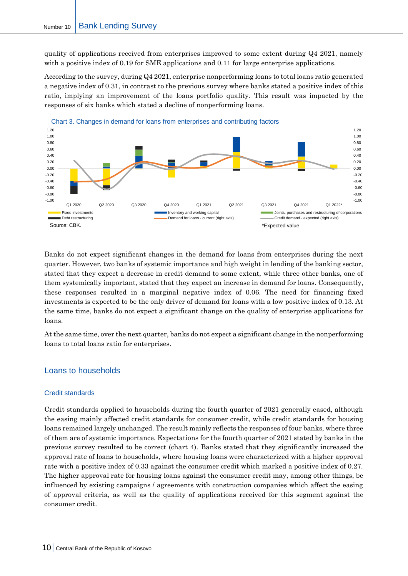quality of applications received from enterprises improved to some extent during Q4 2021, namely with a positive index of 0.19 for SME applications and 0.11 for large enterprise applications.

According to the survey, during Q4 2021, enterprise nonperforming loans to total loans ratio generated a negative index of 0.31, in contrast to the previous survey where banks stated a positive index of this ratio, implying an improvement of the loans portfolio quality. This result was impacted by the responses of six banks which stated a decline of nonperforming loans.



Banks do not expect significant changes in the demand for loans from enterprises during the next quarter. However, two banks of systemic importance and high weight in lending of the banking sector, stated that they expect a decrease in credit demand to some extent, while three other banks, one of them systemically important, stated that they expect an increase in demand for loans. Consequently, these responses resulted in a marginal negative index of 0.06. The need for financing fixed investments is expected to be the only driver of demand for loans with a low positive index of 0.13. At the same time, banks do not expect a significant change on the quality of enterprise applications for loans.

At the same time, over the next quarter, banks do not expect a significant change in the nonperforming loans to total loans ratio for enterprises.

# <span id="page-10-0"></span>Loans to households

#### <span id="page-10-1"></span>Credit standards

Credit standards applied to households during the fourth quarter of 2021 generally eased, although the easing mainly affected credit standards for consumer credit, while credit standards for housing loans remained largely unchanged. The result mainly reflects the responses of four banks, where three of them are of systemic importance. Expectations for the fourth quarter of 2021 stated by banks in the previous survey resulted to be correct (chart 4). Banks stated that they significantly increased the approval rate of loans to households, where housing loans were characterized with a higher approval rate with a positive index of 0.33 against the consumer credit which marked a positive index of 0.27. The higher approval rate for housing loans against the consumer credit may, among other things, be influenced by existing campaigns / agreements with construction companies which affect the easing of approval criteria, as well as the quality of applications received for this segment against the consumer credit.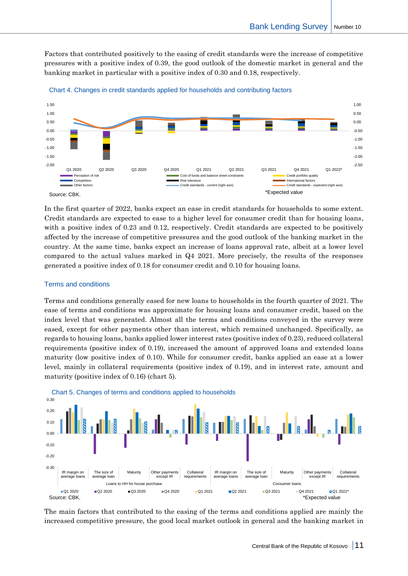Factors that contributed positively to the easing of credit standards were the increase of competitive pressures with a positive index of 0.39, the good outlook of the domestic market in general and the banking market in particular with a positive index of 0.30 and 0.18, respectively.





In the first quarter of 2022, banks expect an ease in credit standards for households to some extent. Credit standards are expected to ease to a higher level for consumer credit than for housing loans, with a positive index of 0.23 and 0.12, respectively. Credit standards are expected to be positively affected by the increase of competitive pressures and the good outlook of the banking market in the country. At the same time, banks expect an increase of loans approval rate, albeit at a lower level compared to the actual values marked in Q4 2021. More precisely, the results of the responses generated a positive index of 0.18 for consumer credit and 0.10 for housing loans.

#### <span id="page-11-0"></span>Terms and conditions

Terms and conditions generally eased for new loans to households in the fourth quarter of 2021. The ease of terms and conditions was approximate for housing loans and consumer credit, based on the index level that was generated. Almost all the terms and conditions conveyed in the survey were eased, except for other payments other than interest, which remained unchanged. Specifically, as regards to housing loans, banks applied lower interest rates (positive index of 0.23), reduced collateral requirements (positive index of 0.19), increased the amount of approved loans and extended loans maturity (low positive index of 0.10). While for consumer credit, banks applied an ease at a lower level, mainly in collateral requirements (positive index of 0.19), and in interest rate, amount and maturity (positive index of 0.16) (chart 5).



Chart 5. Changes of terms and conditions applied to households

The main factors that contributed to the easing of the terms and conditions applied are mainly the increased competitive pressure, the good local market outlook in general and the banking market in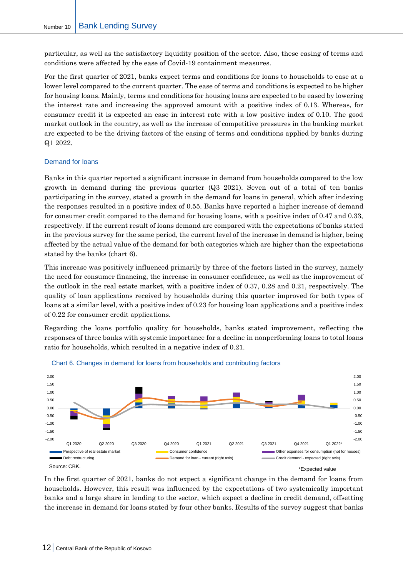particular, as well as the satisfactory liquidity position of the sector. Also, these easing of terms and conditions were affected by the ease of Covid-19 containment measures.

For the first quarter of 2021, banks expect terms and conditions for loans to households to ease at a lower level compared to the current quarter. The ease of terms and conditions is expected to be higher for housing loans. Mainly, terms and conditions for housing loans are expected to be eased by lowering the interest rate and increasing the approved amount with a positive index of 0.13. Whereas, for consumer credit it is expected an ease in interest rate with a low positive index of 0.10. The good market outlook in the country, as well as the increase of competitive pressures in the banking market are expected to be the driving factors of the easing of terms and conditions applied by banks during Q1 2022.

#### <span id="page-12-0"></span>Demand for loans

Banks in this quarter reported a significant increase in demand from households compared to the low growth in demand during the previous quarter (Q3 2021). Seven out of a total of ten banks participating in the survey, stated a growth in the demand for loans in general, which after indexing the responses resulted in a positive index of 0.55. Banks have reported a higher increase of demand for consumer credit compared to the demand for housing loans, with a positive index of 0.47 and 0.33, respectively. If the current result of loans demand are compared with the expectations of banks stated in the previous survey for the same period, the current level of the increase in demand is higher, being affected by the actual value of the demand for both categories which are higher than the expectations stated by the banks (chart 6).

This increase was positively influenced primarily by three of the factors listed in the survey, namely the need for consumer financing, the increase in consumer confidence, as well as the improvement of the outlook in the real estate market, with a positive index of 0.37, 0.28 and 0.21, respectively. The quality of loan applications received by households during this quarter improved for both types of loans at a similar level, with a positive index of 0.23 for housing loan applications and a positive index of 0.22 for consumer credit applications.

Regarding the loans portfolio quality for households, banks stated improvement, reflecting the responses of three banks with systemic importance for a decline in nonperforming loans to total loans ratio for households, which resulted in a negative index of 0.21.





In the first quarter of 2021, banks do not expect a significant change in the demand for loans from households. However, this result was influenced by the expectations of two systemically important banks and a large share in lending to the sector, which expect a decline in credit demand, offsetting the increase in demand for loans stated by four other banks. Results of the survey suggest that banks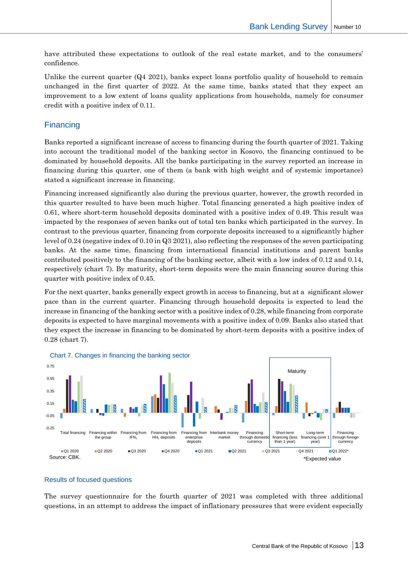have attributed these expectations to outlook of the real estate market, and to the consumers' confidence.

Unlike the current quarter  $(Q_4 \t2021)$ , banks expect loans portfolio quality of household to remain unchanged in the first quarter of 2022. At the same time, banks stated that they expect an improvement to a low extent of loans quality applications from households, namely for consumer credit with a positive index of 0.11.

# <span id="page-13-0"></span>**Financing**

Banks reported a significant increase of access to financing during the fourth quarter of 2021. Taking into account the traditional model of the banking sector in Kosovo, the financing continued to be dominated by household deposits. All the banks participating in the survey reported an increase in financing during this quarter, one of them (a bank with high weight and of systemic importance) stated a significant increase in financing.

Financing increased significantly also during the previous quarter, however, the growth recorded in this quarter resulted to have been much higher. Total financing generated a high positive index of 0.61, where short-term household deposits dominated with a positive index of 0.49. This result was impacted by the responses of seven banks out of total ten banks which participated in the survey. In contrast to the previous quarter, financing from corporate deposits increased to a significantly higher level of 0.24 (negative index of 0.10 in Q3 2021), also reflecting the responses of the seven participating banks. At the same time, financing from international financial institutions and parent banks contributed positively to the financing of the banking sector, albeit with a low index of 0.12 and 0.14, respectively (chart 7). By maturity, short-term deposits were the main financing source during this quarter with positive index of 0.45.

For the next quarter, banks generally expect growth in access to financing, but at a significant slower pace than in the current quarter. Financing through household deposits is expected to lead the increase in financing of the banking sector with a positive index of 0.28, while financing from corporate deposits is expected to have marginal movements with a positive index of 0.09. Banks also stated that they expect the increase in financing to be dominated by short-term deposits with a positive index of 0.28 (chart 7).



#### <span id="page-13-1"></span>Results of focused questions

The survey questionnaire for the fourth quarter of 2021 was completed with three additional questions, in an attempt to address the impact of inflationary pressures that were evident especially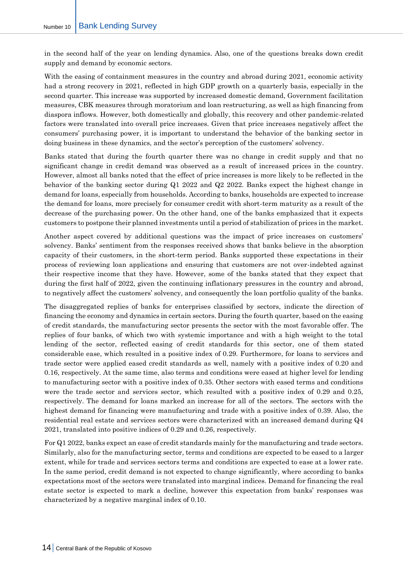in the second half of the year on lending dynamics. Also, one of the questions breaks down credit supply and demand by economic sectors.

With the easing of containment measures in the country and abroad during 2021, economic activity had a strong recovery in 2021, reflected in high GDP growth on a quarterly basis, especially in the second quarter. This increase was supported by increased domestic demand, Government facilitation measures, CBK measures through moratorium and loan restructuring, as well as high financing from diaspora inflows. However, both domestically and globally, this recovery and other pandemic-related factors were translated into overall price increases. Given that price increases negatively affect the consumers' purchasing power, it is important to understand the behavior of the banking sector in doing business in these dynamics, and the sector's perception of the customers' solvency.

Banks stated that during the fourth quarter there was no change in credit supply and that no significant change in credit demand was observed as a result of increased prices in the country. However, almost all banks noted that the effect of price increases is more likely to be reflected in the behavior of the banking sector during Q1 2022 and Q2 2022. Banks expect the highest change in demand for loans, especially from households. According to banks, households are expected to increase the demand for loans, more precisely for consumer credit with short-term maturity as a result of the decrease of the purchasing power. On the other hand, one of the banks emphasized that it expects customers to postpone their planned investments until a period of stabilization of prices in the market.

Another aspect covered by additional questions was the impact of price increases on customers' solvency. Banks' sentiment from the responses received shows that banks believe in the absorption capacity of their customers, in the short-term period. Banks supported these expectations in their process of reviewing loan applications and ensuring that customers are not over-indebted against their respective income that they have. However, some of the banks stated that they expect that during the first half of 2022, given the continuing inflationary pressures in the country and abroad, to negatively affect the customers' solvency, and consequently the loan portfolio quality of the banks.

The disaggregated replies of banks for enterprises classified by sectors, indicate the direction of financing the economy and dynamics in certain sectors. During the fourth quarter, based on the easing of credit standards, the manufacturing sector presents the sector with the most favorable offer. The replies of four banks, of which two with systemic importance and with a high weight to the total lending of the sector, reflected easing of credit standards for this sector, one of them stated considerable ease, which resulted in a positive index of 0.29. Furthermore, for loans to services and trade sector were applied eased credit standards as well, namely with a positive index of 0.20 and 0.16, respectively. At the same time, also terms and conditions were eased at higher level for lending to manufacturing sector with a positive index of 0.35. Other sectors with eased terms and conditions were the trade sector and services sector, which resulted with a positive index of 0.29 and 0.25, respectively. The demand for loans marked an increase for all of the sectors. The sectors with the highest demand for financing were manufacturing and trade with a positive index of 0.39. Also, the residential real estate and services sectors were characterized with an increased demand during Q4 2021, translated into positive indices of 0.29 and 0.26, respectively.

For Q1 2022, banks expect an ease of credit standards mainly for the manufacturing and trade sectors. Similarly, also for the manufacturing sector, terms and conditions are expected to be eased to a larger extent, while for trade and services sectors terms and conditions are expected to ease at a lower rate. In the same period, credit demand is not expected to change significantly, where according to banks expectations most of the sectors were translated into marginal indices. Demand for financing the real estate sector is expected to mark a decline, however this expectation from banks' responses was characterized by a negative marginal index of 0.10.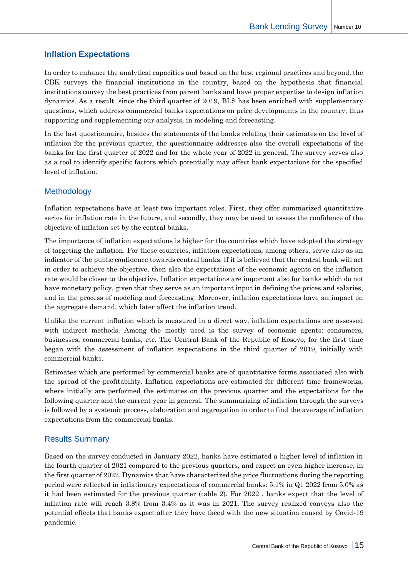# <span id="page-15-0"></span>**Inflation Expectations**

In order to enhance the analytical capacities and based on the best regional practices and beyond, the CBK surveys the financial institutions in the country, based on the hypothesis that financial institutions convey the best practices from parent banks and have proper expertise to design inflation dynamics. As a result, since the third quarter of 2019, BLS has been enriched with supplementary questions, which address commercial banks expectations on price developments in the country, thus supporting and supplementing our analysis, in modeling and forecasting.

In the last questionnaire, besides the statements of the banks relating their estimates on the level of inflation for the previous quarter, the questionnaire addresses also the overall expectations of the banks for the first quarter of 2022 and for the whole year of 2022 in general. The survey serves also as a tool to identify specific factors which potentially may affect bank expectations for the specified level of inflation.

# <span id="page-15-1"></span>**Methodology**

Inflation expectations have at least two important roles. First, they offer summarized quantitative series for inflation rate in the future, and secondly, they may be used to assess the confidence of the objective of inflation set by the central banks.

The importance of inflation expectations is higher for the countries which have adopted the strategy of targeting the inflation. For these countries, inflation expectations, among others, serve also as an indicator of the public confidence towards central banks. If it is believed that the central bank will act in order to achieve the objective, then also the expectations of the economic agents on the inflation rate would be closer to the objective. Inflation expectations are important also for banks which do not have monetary policy, given that they serve as an important input in defining the prices and salaries, and in the process of modeling and forecasting. Moreover, inflation expectations have an impact on the aggregate demand, which later affect the inflation trend.

Unlike the current inflation which is measured in a direct way, inflation expectations are assessed with indirect methods. Among the mostly used is the survey of economic agents: consumers, businesses, commercial banks, etc. The Central Bank of the Republic of Kosovo, for the first time began with the assessment of inflation expectations in the third quarter of 2019, initially with commercial banks.

Estimates which are performed by commercial banks are of quantitative forms associated also with the spread of the profitability. Inflation expectations are estimated for different time frameworks, where initially are performed the estimates on the previous quarter and the expectations for the following quarter and the current year in general. The summarizing of inflation through the surveys is followed by a systemic process, elaboration and aggregation in order to find the average of inflation expectations from the commercial banks.

# <span id="page-15-2"></span>Results Summary

Based on the survey conducted in January 2022, banks have estimated a higher level of inflation in the fourth quarter of 2021 compared to the previous quarters, and expect an even higher increase, in the first quarter of 2022. Dynamics that have characterized the price fluctuations during the reporting period were reflected in inflationary expectations of commercial banks: 5.1% in Q1 2022 from 5.0% as it had been estimated for the previous quarter (table 2). For 2022 , banks expect that the level of inflation rate will reach 3.8% from 3.4% as it was in 2021. The survey realized conveys also the potential effects that banks expect after they have faced with the new situation caused by Covid-19 pandemic.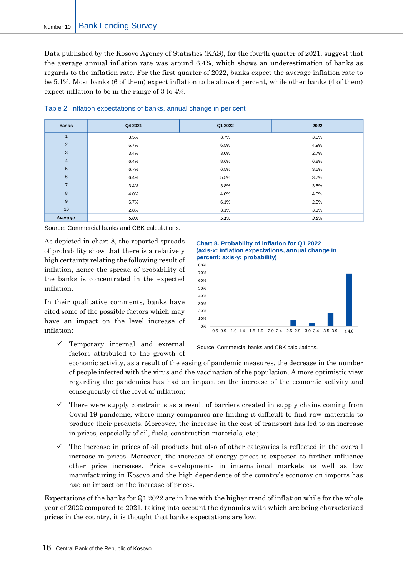Data published by the Kosovo Agency of Statistics (KAS), for the fourth quarter of 2021, suggest that the average annual inflation rate was around 6.4%, which shows an underestimation of banks as regards to the inflation rate. For the first quarter of 2022, banks expect the average inflation rate to be 5.1%. Most banks (6 of them) expect inflation to be above 4 percent, while other banks (4 of them) expect inflation to be in the range of 3 to 4%.

| <b>Banks</b>    | Q4 2021 | Q1 2022 | 2022 |
|-----------------|---------|---------|------|
|                 | 3.5%    | 3.7%    | 3.5% |
| $\overline{2}$  | 6.7%    | 6.5%    | 4.9% |
| $\mathbf{3}$    | 3.4%    | 3.0%    | 2.7% |
| $\overline{4}$  | 6.4%    | 8.6%    | 6.8% |
| $5\phantom{.0}$ | 6.7%    | 6.5%    | 3.5% |
| $6\phantom{1}$  | 6.4%    | 5.5%    | 3.7% |
| $\overline{7}$  | 3.4%    | 3.8%    | 3.5% |
| 8               | 4.0%    | 4.0%    | 4.0% |
| 9               | 6.7%    | 6.1%    | 2.5% |
| 10              | 2.8%    | 3.1%    | 3.1% |
| Average         | 5.0%    | 5.1%    | 3.8% |

Table 2. Inflation expectations of banks, annual change in per cent

Source: Commercial banks and CBK calculations.

As depicted in chart 8, the reported spreads of probability show that there is a relatively high certainty relating the following result of inflation, hence the spread of probability of the banks is concentrated in the expected inflation.

In their qualitative comments, banks have cited some of the possible factors which may have an impact on the level increase of inflation:

Temporary internal and external factors attributed to the growth of





Source: Commercial banks and CBK calculations.

economic activity, as a result of the easing of pandemic measures, the decrease in the number of people infected with the virus and the vaccination of the population. A more optimistic view regarding the pandemics has had an impact on the increase of the economic activity and consequently of the level of inflation;

- There were supply constraints as a result of barriers created in supply chains coming from Covid-19 pandemic, where many companies are finding it difficult to find raw materials to produce their products. Moreover, the increase in the cost of transport has led to an increase in prices, especially of oil, fuels, construction materials, etc.;
- $\checkmark$  The increase in prices of oil products but also of other categories is reflected in the overall increase in prices. Moreover, the increase of energy prices is expected to further influence other price increases. Price developments in international markets as well as low manufacturing in Kosovo and the high dependence of the country's economy on imports has had an impact on the increase of prices.

Expectations of the banks for Q1 2022 are in line with the higher trend of inflation while for the whole year of 2022 compared to 2021, taking into account the dynamics with which are being characterized prices in the country, it is thought that banks expectations are low.